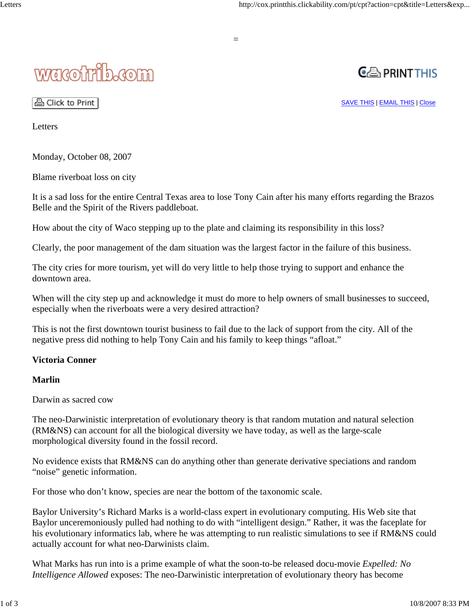# wacotrib.com



A Click to Print

SAVE THIS | EMAIL THIS | Close

Letters

Monday, October 08, 2007

Blame riverboat loss on city

It is a sad loss for the entire Central Texas area to lose Tony Cain after his many efforts regarding the Brazos Belle and the Spirit of the Rivers paddleboat.

How about the city of Waco stepping up to the plate and claiming its responsibility in this loss?

Clearly, the poor management of the dam situation was the largest factor in the failure of this business.

The city cries for more tourism, yet will do very little to help those trying to support and enhance the downtown area.

When will the city step up and acknowledge it must do more to help owners of small businesses to succeed, especially when the riverboats were a very desired attraction?

This is not the first downtown tourist business to fail due to the lack of support from the city. All of the negative press did nothing to help Tony Cain and his family to keep things "afloat."

# **Victoria Conner**

#### **Marlin**

Darwin as sacred cow

The neo-Darwinistic interpretation of evolutionary theory is that random mutation and natural selection (RM&NS) can account for all the biological diversity we have today, as well as the large-scale morphological diversity found in the fossil record.

No evidence exists that RM&NS can do anything other than generate derivative speciations and random "noise" genetic information.

For those who don't know, species are near the bottom of the taxonomic scale.

Baylor University's Richard Marks is a world-class expert in evolutionary computing. His Web site that Baylor unceremoniously pulled had nothing to do with "intelligent design." Rather, it was the faceplate for his evolutionary informatics lab, where he was attempting to run realistic simulations to see if RM&NS could actually account for what neo-Darwinists claim.

What Marks has run into is a prime example of what the soon-to-be released docu-movie *Expelled: No Intelligence Allowed* exposes: The neo-Darwinistic interpretation of evolutionary theory has become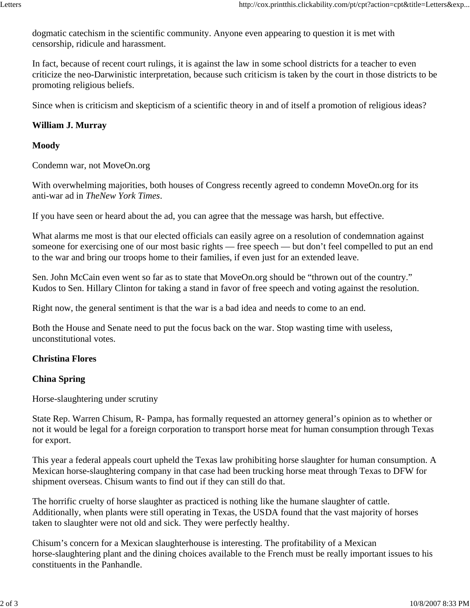dogmatic catechism in the scientific community. Anyone even appearing to question it is met with censorship, ridicule and harassment.

In fact, because of recent court rulings, it is against the law in some school districts for a teacher to even criticize the neo-Darwinistic interpretation, because such criticism is taken by the court in those districts to be promoting religious beliefs.

Since when is criticism and skepticism of a scientific theory in and of itself a promotion of religious ideas?

#### **William J. Murray**

#### **Moody**

Condemn war, not MoveOn.org

With overwhelming majorities, both houses of Congress recently agreed to condemn MoveOn.org for its anti-war ad in *TheNew York Times*.

If you have seen or heard about the ad, you can agree that the message was harsh, but effective.

What alarms me most is that our elected officials can easily agree on a resolution of condemnation against someone for exercising one of our most basic rights — free speech — but don't feel compelled to put an end to the war and bring our troops home to their families, if even just for an extended leave.

Sen. John McCain even went so far as to state that MoveOn.org should be "thrown out of the country." Kudos to Sen. Hillary Clinton for taking a stand in favor of free speech and voting against the resolution.

Right now, the general sentiment is that the war is a bad idea and needs to come to an end.

Both the House and Senate need to put the focus back on the war. Stop wasting time with useless, unconstitutional votes.

#### **Christina Flores**

#### **China Spring**

Horse-slaughtering under scrutiny

State Rep. Warren Chisum, R- Pampa, has formally requested an attorney general's opinion as to whether or not it would be legal for a foreign corporation to transport horse meat for human consumption through Texas for export.

This year a federal appeals court upheld the Texas law prohibiting horse slaughter for human consumption. A Mexican horse-slaughtering company in that case had been trucking horse meat through Texas to DFW for shipment overseas. Chisum wants to find out if they can still do that.

The horrific cruelty of horse slaughter as practiced is nothing like the humane slaughter of cattle. Additionally, when plants were still operating in Texas, the USDA found that the vast majority of horses taken to slaughter were not old and sick. They were perfectly healthy.

Chisum's concern for a Mexican slaughterhouse is interesting. The profitability of a Mexican horse-slaughtering plant and the dining choices available to the French must be really important issues to his constituents in the Panhandle.